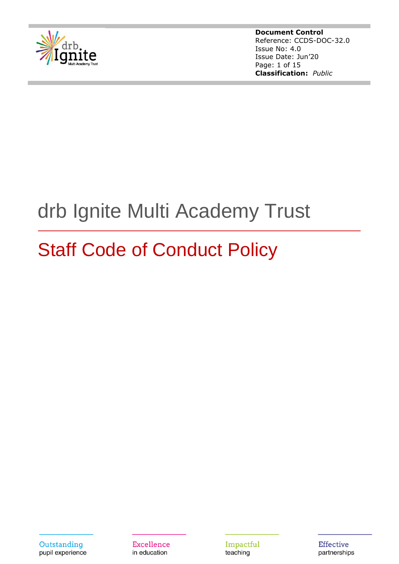

**Document Control** Reference: CCDS-DOC-32.0 Issue No: 4.0 Issue Date: Jun'20 Page: 1 of 15 **Classification:** *Public*

# drb Ignite Multi Academy Trust

# Staff Code of Conduct Policy

**Excellence** in education

Impactful teaching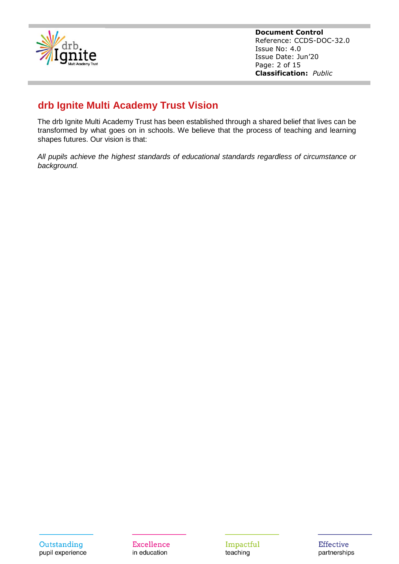

**Document Control** Reference: CCDS-DOC-32.0 Issue No: 4.0 Issue Date: Jun'20 Page: 2 of 15 **Classification:** *Public*

# **drb Ignite Multi Academy Trust Vision**

The drb Ignite Multi Academy Trust has been established through a shared belief that lives can be transformed by what goes on in schools. We believe that the process of teaching and learning shapes futures. Our vision is that:

*All pupils achieve the highest standards of educational standards regardless of circumstance or background.*

Excellence in education

Impactful teaching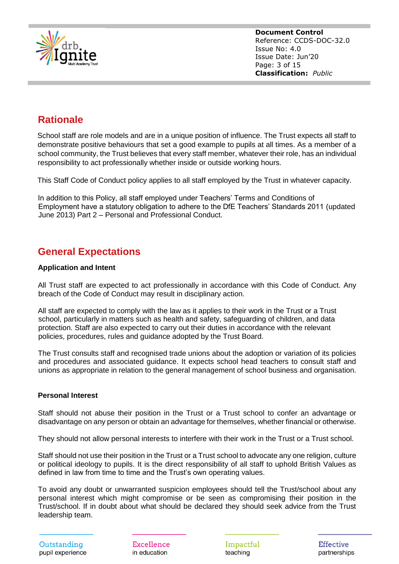

**Document Control** Reference: CCDS-DOC-32.0 Issue No: 4.0 Issue Date: Jun'20 Page: 3 of 15 **Classification:** *Public*

# **Rationale**

School staff are role models and are in a unique position of influence. The Trust expects all staff to demonstrate positive behaviours that set a good example to pupils at all times. As a member of a school community, the Trust believes that every staff member, whatever their role, has an individual responsibility to act professionally whether inside or outside working hours.

This Staff Code of Conduct policy applies to all staff employed by the Trust in whatever capacity.

In addition to this Policy, all staff employed under Teachers' Terms and Conditions of Employment have a statutory obligation to adhere to the DfE Teachers' Standards 2011 (updated June 2013) Part 2 – Personal and Professional Conduct.

# **General Expectations**

# **Application and Intent**

All Trust staff are expected to act professionally in accordance with this Code of Conduct. Any breach of the Code of Conduct may result in disciplinary action.

All staff are expected to comply with the law as it applies to their work in the Trust or a Trust school, particularly in matters such as health and safety, safeguarding of children, and data protection. Staff are also expected to carry out their duties in accordance with the relevant policies, procedures, rules and guidance adopted by the Trust Board.

The Trust consults staff and recognised trade unions about the adoption or variation of its policies and procedures and associated guidance. It expects school head teachers to consult staff and unions as appropriate in relation to the general management of school business and organisation.

# **Personal Interest**

Staff should not abuse their position in the Trust or a Trust school to confer an advantage or disadvantage on any person or obtain an advantage for themselves, whether financial or otherwise.

They should not allow personal interests to interfere with their work in the Trust or a Trust school.

Staff should not use their position in the Trust or a Trust school to advocate any one religion, culture or political ideology to pupils. It is the direct responsibility of all staff to uphold British Values as defined in law from time to time and the Trust's own operating values.

To avoid any doubt or unwarranted suspicion employees should tell the Trust/school about any personal interest which might compromise or be seen as compromising their position in the Trust/school. If in doubt about what should be declared they should seek advice from the Trust leadership team.

Outstanding pupil experience

Excellence in education

Impactful teaching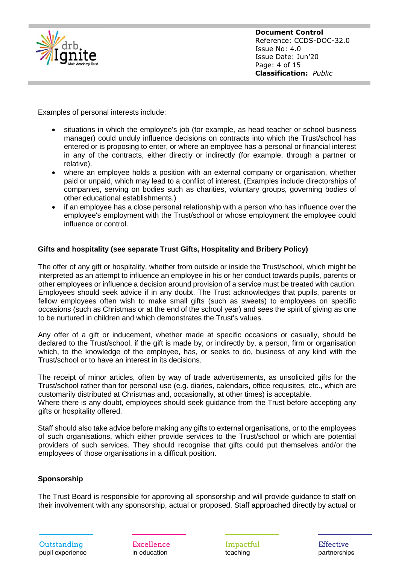

**Document Control** Reference: CCDS-DOC-32.0 Issue No: 4.0 Issue Date: Jun'20 Page: 4 of 15 **Classification:** *Public*

Examples of personal interests include:

- situations in which the employee's job (for example, as head teacher or school business manager) could unduly influence decisions on contracts into which the Trust/school has entered or is proposing to enter, or where an employee has a personal or financial interest in any of the contracts, either directly or indirectly (for example, through a partner or relative).
- where an employee holds a position with an external company or organisation, whether paid or unpaid, which may lead to a conflict of interest. (Examples include directorships of companies, serving on bodies such as charities, voluntary groups, governing bodies of other educational establishments.)
- if an employee has a close personal relationship with a person who has influence over the employee's employment with the Trust/school or whose employment the employee could influence or control.

# **Gifts and hospitality (see separate Trust Gifts, Hospitality and Bribery Policy)**

The offer of any gift or hospitality, whether from outside or inside the Trust/school, which might be interpreted as an attempt to influence an employee in his or her conduct towards pupils, parents or other employees or influence a decision around provision of a service must be treated with caution. Employees should seek advice if in any doubt. The Trust acknowledges that pupils, parents or fellow employees often wish to make small gifts (such as sweets) to employees on specific occasions (such as Christmas or at the end of the school year) and sees the spirit of giving as one to be nurtured in children and which demonstrates the Trust's values.

Any offer of a gift or inducement, whether made at specific occasions or casually, should be declared to the Trust/school, if the gift is made by, or indirectly by, a person, firm or organisation which, to the knowledge of the employee, has, or seeks to do, business of any kind with the Trust/school or to have an interest in its decisions.

The receipt of minor articles, often by way of trade advertisements, as unsolicited gifts for the Trust/school rather than for personal use (e.g. diaries, calendars, office requisites, etc., which are customarily distributed at Christmas and, occasionally, at other times) is acceptable. Where there is any doubt, employees should seek guidance from the Trust before accepting any gifts or hospitality offered.

Staff should also take advice before making any gifts to external organisations, or to the employees of such organisations, which either provide services to the Trust/school or which are potential providers of such services. They should recognise that gifts could put themselves and/or the employees of those organisations in a difficult position.

# **Sponsorship**

The Trust Board is responsible for approving all sponsorship and will provide guidance to staff on their involvement with any sponsorship, actual or proposed. Staff approached directly by actual or

Excellence in education

Impactful teaching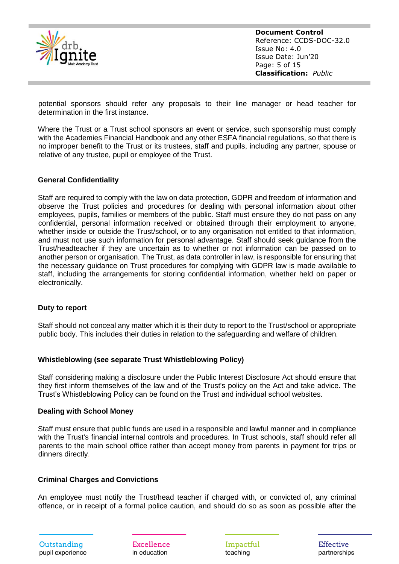

**Document Control** Reference: CCDS-DOC-32.0 Issue No: 4.0 Issue Date: Jun'20 Page: 5 of 15 **Classification:** *Public*

potential sponsors should refer any proposals to their line manager or head teacher for determination in the first instance.

Where the Trust or a Trust school sponsors an event or service, such sponsorship must comply with the Academies Financial Handbook and any other ESFA financial regulations, so that there is no improper benefit to the Trust or its trustees, staff and pupils, including any partner, spouse or relative of any trustee, pupil or employee of the Trust.

#### **General Confidentiality**

Staff are required to comply with the law on data protection, GDPR and freedom of information and observe the Trust policies and procedures for dealing with personal information about other employees, pupils, families or members of the public. Staff must ensure they do not pass on any confidential, personal information received or obtained through their employment to anyone, whether inside or outside the Trust/school, or to any organisation not entitled to that information, and must not use such information for personal advantage. Staff should seek guidance from the Trust/headteacher if they are uncertain as to whether or not information can be passed on to another person or organisation. The Trust, as data controller in law, is responsible for ensuring that the necessary guidance on Trust procedures for complying with GDPR law is made available to staff, including the arrangements for storing confidential information, whether held on paper or electronically.

#### **Duty to report**

Staff should not conceal any matter which it is their duty to report to the Trust/school or appropriate public body. This includes their duties in relation to the safeguarding and welfare of children.

#### **Whistleblowing (see separate Trust Whistleblowing Policy)**

Staff considering making a disclosure under the Public Interest Disclosure Act should ensure that they first inform themselves of the law and of the Trust's policy on the Act and take advice. The Trust's Whistleblowing Policy can be found on the Trust and individual school websites.

#### **Dealing with School Money**

Staff must ensure that public funds are used in a responsible and lawful manner and in compliance with the Trust's financial internal controls and procedures. In Trust schools, staff should refer all parents to the main school office rather than accept money from parents in payment for trips or dinners directly.

#### **Criminal Charges and Convictions**

An employee must notify the Trust/head teacher if charged with, or convicted of, any criminal offence, or in receipt of a formal police caution, and should do so as soon as possible after the

Excellence in education

Impactful teaching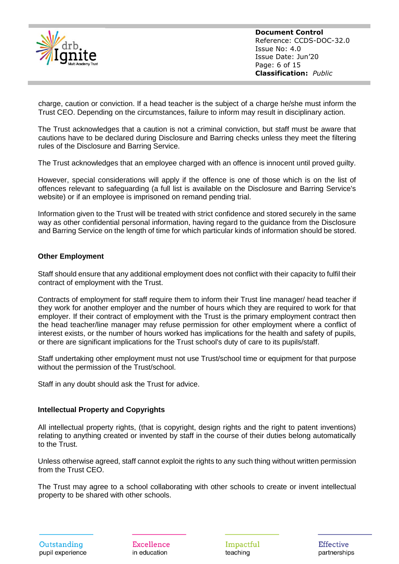

**Document Control** Reference: CCDS-DOC-32.0 Issue No: 4.0 Issue Date: Jun'20 Page: 6 of 15 **Classification:** *Public*

charge, caution or conviction. If a head teacher is the subject of a charge he/she must inform the Trust CEO. Depending on the circumstances, failure to inform may result in disciplinary action.

The Trust acknowledges that a caution is not a criminal conviction, but staff must be aware that cautions have to be declared during Disclosure and Barring checks unless they meet the filtering rules of the Disclosure and Barring Service.

The Trust acknowledges that an employee charged with an offence is innocent until proved guilty.

However, special considerations will apply if the offence is one of those which is on the list of offences relevant to safeguarding (a full list is available on the Disclosure and Barring Service's website) or if an employee is imprisoned on remand pending trial.

Information given to the Trust will be treated with strict confidence and stored securely in the same way as other confidential personal information, having regard to the guidance from the Disclosure and Barring Service on the length of time for which particular kinds of information should be stored.

# **Other Employment**

Staff should ensure that any additional employment does not conflict with their capacity to fulfil their contract of employment with the Trust.

Contracts of employment for staff require them to inform their Trust line manager/ head teacher if they work for another employer and the number of hours which they are required to work for that employer. If their contract of employment with the Trust is the primary employment contract then the head teacher/line manager may refuse permission for other employment where a conflict of interest exists, or the number of hours worked has implications for the health and safety of pupils, or there are significant implications for the Trust school's duty of care to its pupils/staff.

Staff undertaking other employment must not use Trust/school time or equipment for that purpose without the permission of the Trust/school.

Staff in any doubt should ask the Trust for advice.

#### **Intellectual Property and Copyrights**

All intellectual property rights, (that is copyright, design rights and the right to patent inventions) relating to anything created or invented by staff in the course of their duties belong automatically to the Trust.

Unless otherwise agreed, staff cannot exploit the rights to any such thing without written permission from the Trust CEO.

The Trust may agree to a school collaborating with other schools to create or invent intellectual property to be shared with other schools.

Excellence in education

Impactful teaching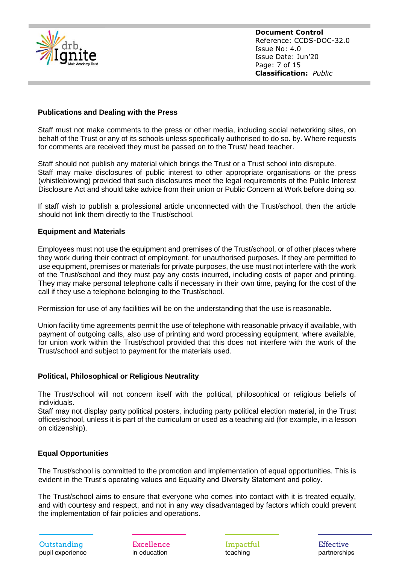

# **Publications and Dealing with the Press**

Staff must not make comments to the press or other media, including social networking sites, on behalf of the Trust or any of its schools unless specifically authorised to do so. by. Where requests for comments are received they must be passed on to the Trust/ head teacher.

Staff should not publish any material which brings the Trust or a Trust school into disrepute. Staff may make disclosures of public interest to other appropriate organisations or the press (whistleblowing) provided that such disclosures meet the legal requirements of the Public Interest Disclosure Act and should take advice from their union or Public Concern at Work before doing so.

If staff wish to publish a professional article unconnected with the Trust/school, then the article should not link them directly to the Trust/school.

# **Equipment and Materials**

Employees must not use the equipment and premises of the Trust/school, or of other places where they work during their contract of employment, for unauthorised purposes. If they are permitted to use equipment, premises or materials for private purposes, the use must not interfere with the work of the Trust/school and they must pay any costs incurred, including costs of paper and printing. They may make personal telephone calls if necessary in their own time, paying for the cost of the call if they use a telephone belonging to the Trust/school.

Permission for use of any facilities will be on the understanding that the use is reasonable.

Union facility time agreements permit the use of telephone with reasonable privacy if available, with payment of outgoing calls, also use of printing and word processing equipment, where available, for union work within the Trust/school provided that this does not interfere with the work of the Trust/school and subject to payment for the materials used.

# **Political, Philosophical or Religious Neutrality**

The Trust/school will not concern itself with the political, philosophical or religious beliefs of individuals.

Staff may not display party political posters, including party political election material, in the Trust offices/school, unless it is part of the curriculum or used as a teaching aid (for example, in a lesson on citizenship).

# **Equal Opportunities**

The Trust/school is committed to the promotion and implementation of equal opportunities. This is evident in the Trust's operating values and Equality and Diversity Statement and policy.

The Trust/school aims to ensure that everyone who comes into contact with it is treated equally, and with courtesy and respect, and not in any way disadvantaged by factors which could prevent the implementation of fair policies and operations.

Outstanding pupil experience

Excellence in education

Impactful teaching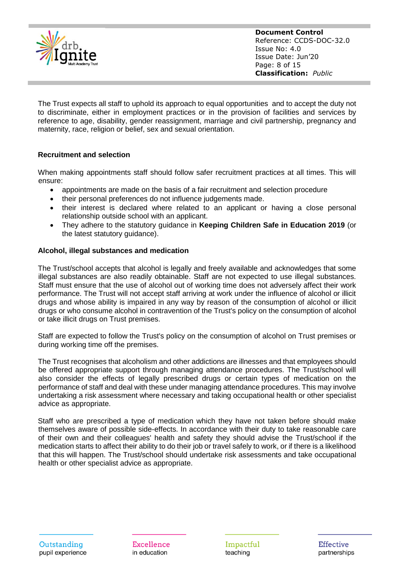

**Document Control** Reference: CCDS-DOC-32.0 Issue No: 4.0 Issue Date: Jun'20 Page: 8 of 15 **Classification:** *Public*

The Trust expects all staff to uphold its approach to equal opportunities and to accept the duty not to discriminate, either in employment practices or in the provision of facilities and services by reference to age, disability, gender reassignment, marriage and civil partnership, pregnancy and maternity, race, religion or belief, sex and sexual orientation.

# **Recruitment and selection**

When making appointments staff should follow safer recruitment practices at all times. This will ensure:

- appointments are made on the basis of a fair recruitment and selection procedure
- their personal preferences do not influence judgements made.
- their interest is declared where related to an applicant or having a close personal relationship outside school with an applicant.
- They adhere to the statutory guidance in **Keeping Children Safe in Education 2019** (or the latest statutory guidance).

# **Alcohol, illegal substances and medication**

The Trust/school accepts that alcohol is legally and freely available and acknowledges that some illegal substances are also readily obtainable. Staff are not expected to use illegal substances. Staff must ensure that the use of alcohol out of working time does not adversely affect their work performance. The Trust will not accept staff arriving at work under the influence of alcohol or illicit drugs and whose ability is impaired in any way by reason of the consumption of alcohol or illicit drugs or who consume alcohol in contravention of the Trust's policy on the consumption of alcohol or take illicit drugs on Trust premises.

Staff are expected to follow the Trust's policy on the consumption of alcohol on Trust premises or during working time off the premises.

The Trust recognises that alcoholism and other addictions are illnesses and that employees should be offered appropriate support through managing attendance procedures. The Trust/school will also consider the effects of legally prescribed drugs or certain types of medication on the performance of staff and deal with these under managing attendance procedures. This may involve undertaking a risk assessment where necessary and taking occupational health or other specialist advice as appropriate.

Staff who are prescribed a type of medication which they have not taken before should make themselves aware of possible side-effects. In accordance with their duty to take reasonable care of their own and their colleagues' health and safety they should advise the Trust/school if the medication starts to affect their ability to do their job or travel safely to work, or if there is a likelihood that this will happen. The Trust/school should undertake risk assessments and take occupational health or other specialist advice as appropriate.

Outstanding pupil experience

Excellence in education

Impactful teaching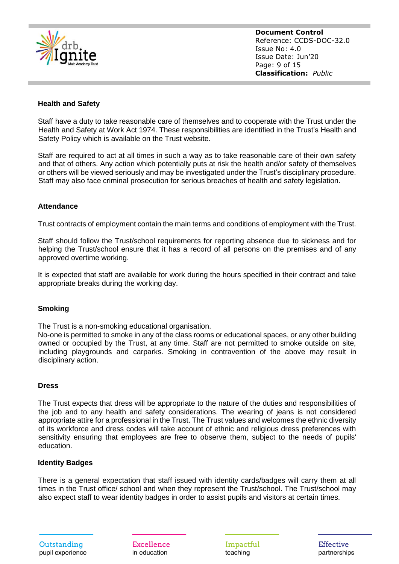

**Document Control** Reference: CCDS-DOC-32.0 Issue No: 4.0 Issue Date: Jun'20 Page: 9 of 15 **Classification:** *Public*

# **Health and Safety**

Staff have a duty to take reasonable care of themselves and to cooperate with the Trust under the Health and Safety at Work Act 1974. These responsibilities are identified in the Trust's Health and Safety Policy which is available on the Trust website.

Staff are required to act at all times in such a way as to take reasonable care of their own safety and that of others. Any action which potentially puts at risk the health and/or safety of themselves or others will be viewed seriously and may be investigated under the Trust's disciplinary procedure. Staff may also face criminal prosecution for serious breaches of health and safety legislation.

#### **Attendance**

Trust contracts of employment contain the main terms and conditions of employment with the Trust.

Staff should follow the Trust/school requirements for reporting absence due to sickness and for helping the Trust/school ensure that it has a record of all persons on the premises and of any approved overtime working.

It is expected that staff are available for work during the hours specified in their contract and take appropriate breaks during the working day.

#### **Smoking**

The Trust is a non-smoking educational organisation.

No-one is permitted to smoke in any of the class rooms or educational spaces, or any other building owned or occupied by the Trust, at any time. Staff are not permitted to smoke outside on site, including playgrounds and carparks. Smoking in contravention of the above may result in disciplinary action.

#### **Dress**

The Trust expects that dress will be appropriate to the nature of the duties and responsibilities of the job and to any health and safety considerations. The wearing of jeans is not considered appropriate attire for a professional in the Trust. The Trust values and welcomes the ethnic diversity of its workforce and dress codes will take account of ethnic and religious dress preferences with sensitivity ensuring that employees are free to observe them, subject to the needs of pupils' education.

#### **Identity Badges**

There is a general expectation that staff issued with identity cards/badges will carry them at all times in the Trust office/ school and when they represent the Trust/school. The Trust/school may also expect staff to wear identity badges in order to assist pupils and visitors at certain times.

Excellence in education

Impactful teaching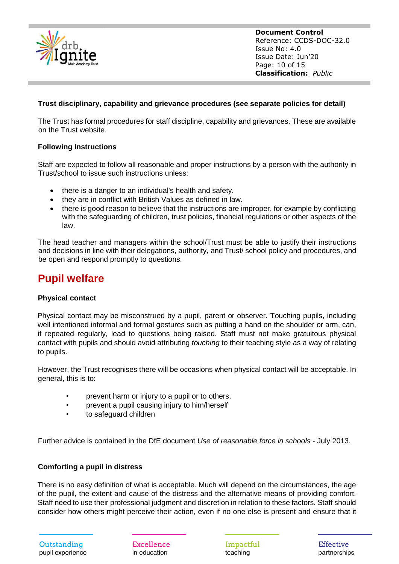

**Document Control** Reference: CCDS-DOC-32.0 Issue No: 4.0 Issue Date: Jun'20 Page: 10 of 15 **Classification:** *Public*

# **Trust disciplinary, capability and grievance procedures (see separate policies for detail)**

The Trust has formal procedures for staff discipline, capability and grievances. These are available on the Trust website.

# **Following Instructions**

Staff are expected to follow all reasonable and proper instructions by a person with the authority in Trust/school to issue such instructions unless:

- there is a danger to an individual's health and safety.
- they are in conflict with British Values as defined in law.
- there is good reason to believe that the instructions are improper, for example by conflicting with the safeguarding of children, trust policies, financial regulations or other aspects of the law.

The head teacher and managers within the school/Trust must be able to justify their instructions and decisions in line with their delegations, authority, and Trust/ school policy and procedures, and be open and respond promptly to questions.

# **Pupil welfare**

# **Physical contact**

Physical contact may be misconstrued by a pupil, parent or observer. Touching pupils, including well intentioned informal and formal gestures such as putting a hand on the shoulder or arm, can, if repeated regularly, lead to questions being raised. Staff must not make gratuitous physical contact with pupils and should avoid attributing *touching* to their teaching style as a way of relating to pupils.

However, the Trust recognises there will be occasions when physical contact will be acceptable. In general, this is to:

- prevent harm or injury to a pupil or to others.
- prevent a pupil causing injury to him/herself
- to safeguard children

Further advice is contained in the DfE document *Use of reasonable force in schools* - July 2013.

# **Comforting a pupil in distress**

There is no easy definition of what is acceptable. Much will depend on the circumstances, the age of the pupil, the extent and cause of the distress and the alternative means of providing comfort. Staff need to use their professional judgment and discretion in relation to these factors. Staff should consider how others might perceive their action, even if no one else is present and ensure that it

Excellence in education

Impactful teaching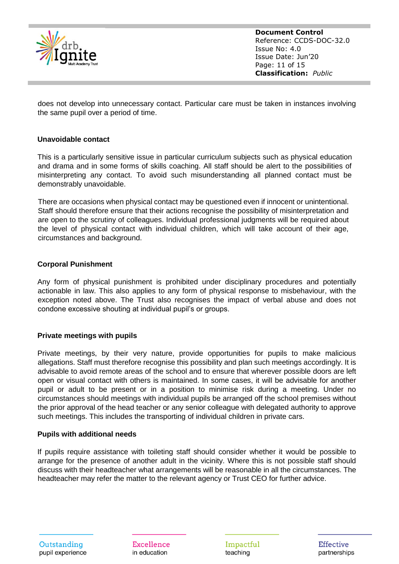

**Document Control** Reference: CCDS-DOC-32.0 Issue No: 4.0 Issue Date: Jun'20 Page: 11 of 15 **Classification:** *Public*

does not develop into unnecessary contact. Particular care must be taken in instances involving the same pupil over a period of time.

# **Unavoidable contact**

This is a particularly sensitive issue in particular curriculum subjects such as physical education and drama and in some forms of skills coaching. All staff should be alert to the possibilities of misinterpreting any contact. To avoid such misunderstanding all planned contact must be demonstrably unavoidable.

There are occasions when physical contact may be questioned even if innocent or unintentional. Staff should therefore ensure that their actions recognise the possibility of misinterpretation and are open to the scrutiny of colleagues. Individual professional judgments will be required about the level of physical contact with individual children, which will take account of their age, circumstances and background.

#### **Corporal Punishment**

Any form of physical punishment is prohibited under disciplinary procedures and potentially actionable in law. This also applies to any form of physical response to misbehaviour, with the exception noted above. The Trust also recognises the impact of verbal abuse and does not condone excessive shouting at individual pupil's or groups.

#### **Private meetings with pupils**

Private meetings, by their very nature, provide opportunities for pupils to make malicious allegations. Staff must therefore recognise this possibility and plan such meetings accordingly. It is advisable to avoid remote areas of the school and to ensure that wherever possible doors are left open or visual contact with others is maintained. In some cases, it will be advisable for another pupil or adult to be present or in a position to minimise risk during a meeting. Under no circumstances should meetings with individual pupils be arranged off the school premises without the prior approval of the head teacher or any senior colleague with delegated authority to approve such meetings. This includes the transporting of individual children in private cars.

#### **Pupils with additional needs**

If pupils require assistance with toileting staff should consider whether it would be possible to arrange for the presence of another adult in the vicinity. Where this is not possible staff should discuss with their headteacher what arrangements will be reasonable in all the circumstances. The headteacher may refer the matter to the relevant agency or Trust CEO for further advice.

Outstanding pupil experience

Excellence in education

Impactful teaching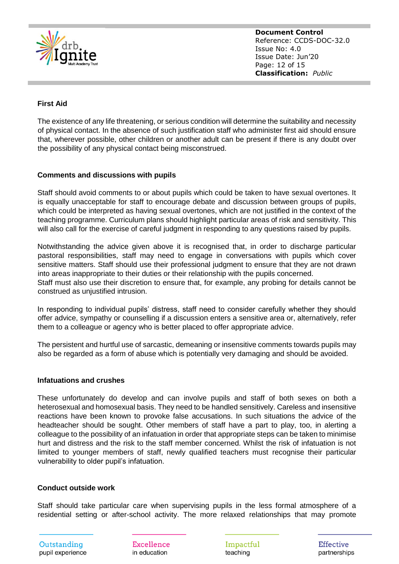

**Document Control** Reference: CCDS-DOC-32.0 Issue No: 4.0 Issue Date: Jun'20 Page: 12 of 15 **Classification:** *Public*

# **First Aid**

The existence of any life threatening, or serious condition will determine the suitability and necessity of physical contact. In the absence of such justification staff who administer first aid should ensure that, wherever possible, other children or another adult can be present if there is any doubt over the possibility of any physical contact being misconstrued.

# **Comments and discussions with pupils**

Staff should avoid comments to or about pupils which could be taken to have sexual overtones. It is equally unacceptable for staff to encourage debate and discussion between groups of pupils, which could be interpreted as having sexual overtones, which are not justified in the context of the teaching programme. Curriculum plans should highlight particular areas of risk and sensitivity. This will also call for the exercise of careful judgment in responding to any questions raised by pupils.

Notwithstanding the advice given above it is recognised that, in order to discharge particular pastoral responsibilities, staff may need to engage in conversations with pupils which cover sensitive matters. Staff should use their professional judgment to ensure that they are not drawn into areas inappropriate to their duties or their relationship with the pupils concerned.

Staff must also use their discretion to ensure that, for example, any probing for details cannot be construed as unjustified intrusion.

In responding to individual pupils' distress, staff need to consider carefully whether they should offer advice, sympathy or counselling if a discussion enters a sensitive area or, alternatively, refer them to a colleague or agency who is better placed to offer appropriate advice.

The persistent and hurtful use of sarcastic, demeaning or insensitive comments towards pupils may also be regarded as a form of abuse which is potentially very damaging and should be avoided.

# **Infatuations and crushes**

These unfortunately do develop and can involve pupils and staff of both sexes on both a heterosexual and homosexual basis. They need to be handled sensitively. Careless and insensitive reactions have been known to provoke false accusations. In such situations the advice of the headteacher should be sought. Other members of staff have a part to play, too, in alerting a colleague to the possibility of an infatuation in order that appropriate steps can be taken to minimise hurt and distress and the risk to the staff member concerned. Whilst the risk of infatuation is not limited to younger members of staff, newly qualified teachers must recognise their particular vulnerability to older pupil's infatuation.

#### **Conduct outside work**

Staff should take particular care when supervising pupils in the less formal atmosphere of a residential setting or after-school activity. The more relaxed relationships that may promote

Excellence in education

Impactful teaching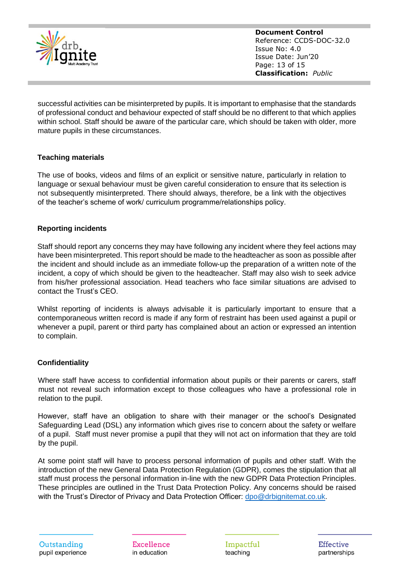

**Document Control** Reference: CCDS-DOC-32.0 Issue No: 4.0 Issue Date: Jun'20 Page: 13 of 15 **Classification:** *Public*

successful activities can be misinterpreted by pupils. It is important to emphasise that the standards of professional conduct and behaviour expected of staff should be no different to that which applies within school. Staff should be aware of the particular care, which should be taken with older, more mature pupils in these circumstances.

# **Teaching materials**

The use of books, videos and films of an explicit or sensitive nature, particularly in relation to language or sexual behaviour must be given careful consideration to ensure that its selection is not subsequently misinterpreted. There should always, therefore, be a link with the objectives of the teacher's scheme of work/ curriculum programme/relationships policy.

# **Reporting incidents**

Staff should report any concerns they may have following any incident where they feel actions may have been misinterpreted. This report should be made to the headteacher as soon as possible after the incident and should include as an immediate follow-up the preparation of a written note of the incident, a copy of which should be given to the headteacher. Staff may also wish to seek advice from his/her professional association. Head teachers who face similar situations are advised to contact the Trust's CEO.

Whilst reporting of incidents is always advisable it is particularly important to ensure that a contemporaneous written record is made if any form of restraint has been used against a pupil or whenever a pupil, parent or third party has complained about an action or expressed an intention to complain.

# **Confidentiality**

Where staff have access to confidential information about pupils or their parents or carers, staff must not reveal such information except to those colleagues who have a professional role in relation to the pupil.

However, staff have an obligation to share with their manager or the school's Designated Safeguarding Lead (DSL) any information which gives rise to concern about the safety or welfare of a pupil. Staff must never promise a pupil that they will not act on information that they are told by the pupil.

At some point staff will have to process personal information of pupils and other staff. With the introduction of the new General Data Protection Regulation (GDPR), comes the stipulation that all staff must process the personal information in-line with the new GDPR Data Protection Principles. These principles are outlined in the Trust Data Protection Policy. Any concerns should be raised with the Trust's Director of Privacy and Data Protection Officer: [dpo@drbignitemat.co.uk.](mailto:dpo@drbignitemat.co.uk)

Excellence in education

Impactful teaching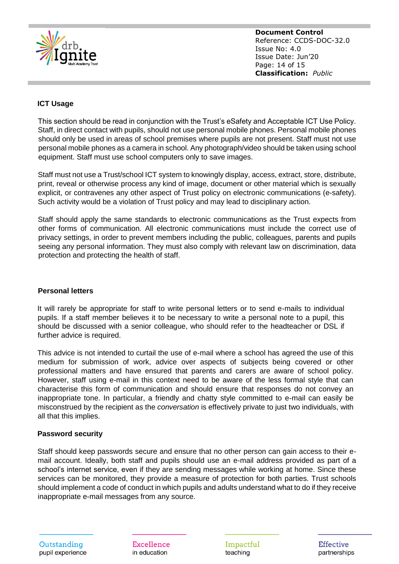

**Document Control** Reference: CCDS-DOC-32.0 Issue No: 4.0 Issue Date: Jun'20 Page: 14 of 15 **Classification:** *Public*

# **ICT Usage**

This section should be read in conjunction with the Trust's eSafety and Acceptable ICT Use Policy. Staff, in direct contact with pupils, should not use personal mobile phones. Personal mobile phones should only be used in areas of school premises where pupils are not present. Staff must not use personal mobile phones as a camera in school. Any photograph/video should be taken using school equipment. Staff must use school computers only to save images.

Staff must not use a Trust/school ICT system to knowingly display, access, extract, store, distribute, print, reveal or otherwise process any kind of image, document or other material which is sexually explicit, or contravenes any other aspect of Trust policy on electronic communications (e-safety). Such activity would be a violation of Trust policy and may lead to disciplinary action.

Staff should apply the same standards to electronic communications as the Trust expects from other forms of communication. All electronic communications must include the correct use of privacy settings, in order to prevent members including the public, colleagues, parents and pupils seeing any personal information. They must also comply with relevant law on discrimination, data protection and protecting the health of staff.

# **Personal letters**

It will rarely be appropriate for staff to write personal letters or to send e-mails to individual pupils. If a staff member believes it to be necessary to write a personal note to a pupil, this should be discussed with a senior colleague, who should refer to the headteacher or DSL if further advice is required.

This advice is not intended to curtail the use of e-mail where a school has agreed the use of this medium for submission of work, advice over aspects of subjects being covered or other professional matters and have ensured that parents and carers are aware of school policy. However, staff using e-mail in this context need to be aware of the less formal style that can characterise this form of communication and should ensure that responses do not convey an inappropriate tone. In particular, a friendly and chatty style committed to e-mail can easily be misconstrued by the recipient as the *conversation* is effectively private to just two individuals, with all that this implies.

# **Password security**

Staff should keep passwords secure and ensure that no other person can gain access to their email account. Ideally, both staff and pupils should use an e-mail address provided as part of a school's internet service, even if they are sending messages while working at home. Since these services can be monitored, they provide a measure of protection for both parties. Trust schools should implement a code of conduct in which pupils and adults understand what to do if they receive inappropriate e-mail messages from any source.

Excellence in education

Impactful teaching